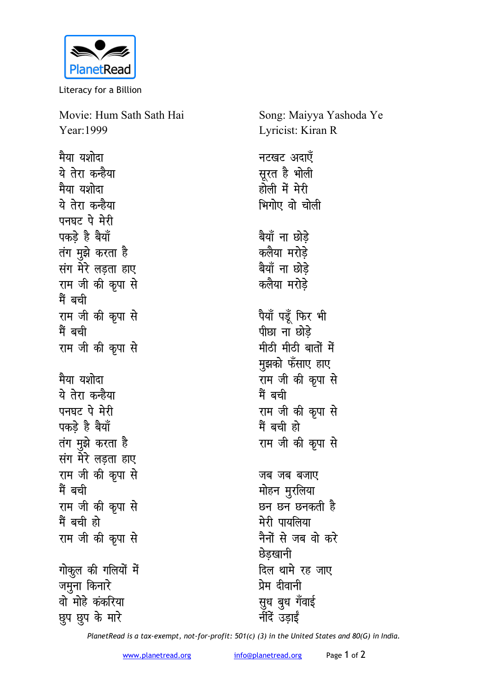

Literacy for a Billion

Movie: Hum Sath Sath Hai Year: 1999

मैया यशोदा ये तेरा कन्हैया मैया यशोदा ये तेरा कन्हैया पनघट पे मेरी पकड़े है बैयाँ तंग मुझे करता है संग मेरे लड़ता हाए राम जी की कृपा से मैं बची राम जी की कृपा से मैं बची राम जी की कृपा से मैया यशोदा ये तेरा कन्हैया पनघट पे मेरी पकड़े है बैयाँ तंग मुझे करता है संग मेरे लड़ता हाए राम जी की कृपा से मैं बची राम जी की कृपा से मैं बची हो राम जी की कृपा से गोकूल की गलियों में जमुना किनारे वो मोहे कंकरिया छुप छुप के मारे

Song: Maiyya Yashoda Ye Lyricist: Kiran R नटखट अदाएँ सूरत है भोली होली में मेरी भिगोए वो चोली बैयाँ ना छोडे कलैया मरोडे बैयाँ ना छोड़े कलैया मरोडे पैयाँ पडूँ फिर भी पीछा ना छोडे मीठी मीठी बातों में मुझको फँसाए हाए राम जी की कृपा से मैं बची राम जी की कृपा से मैं बची हो राम जी की कृपा से जब जब बजाए मोहन मुरलिया छन छन छनकती है मेरी पायलिया नैनों से जब वो करे छेडखानी दिल थामे रह जाए प्रेम दीवानी सुध बुध गँवाई र्नीदें उडाई

PlanetRead is a tax-exempt, not-for-profit: 501(c) (3) in the United States and 80(G) in India.